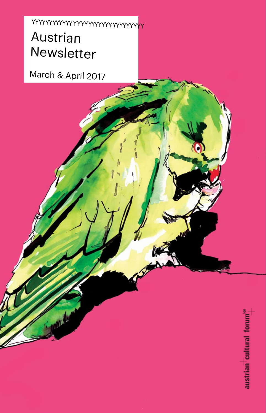# Austrian Newsletter YY Y   YYY YYY Y YY Y Y YYYYY Y Y YYYYYYYYYYY

March & April 2017

austrian cultural forum<sup>ion</sup>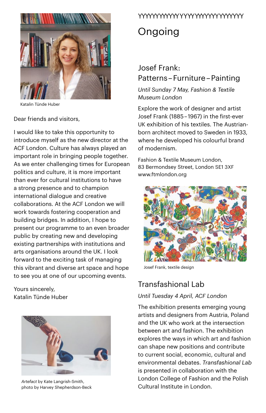

Katalin Tünde Huber

Dear friends and visitors,

I would like to take this opportunity to introduce myself as the new director at the ACF London. Culture has always played an important role in bringing people together. As we enter challenging times for European politics and culture, it is more important than ever for cultural institutions to have a strong presence and to champion international dialogue and creative collaborations. At the ACF London we will work towards fostering cooperation and building bridges. In addition, I hope to present our programme to an even broader public by creating new and developing existing partnerships with institutions and arts organisations around the UK. I look forward to the exciting task of managing this vibrant and diverse art space and hope to see you at one of our upcoming events.

Yours sincerely, Katalin Tünde Huber



*Artefact* by Kate Langrish-Smith, photo by Harvey Shepherdson-Beck

# YY Y   YYY YYY Y YY Y Y YYYYY Y Y YYYYYYYYY

# **Ongoing**

# Josef Frank: Patterns – Furniture – Painting

*Until Sunday 7 May, Fashion & Textile Museum London*

Explore the work of designer and artist Josef Frank (1885 – 1967) in the first-ever UK exhibition of his textiles. The Austrianborn architect moved to Sweden in 1933, where he developed his colourful brand of modernism.

Fashion & Textile Museum London, 83 Bermondsey Street, London SE1 3XF [www.ftmlondon.org](http://www.ftmlondon.org) 



Josef Frank, textile design

# Transfashional Lab

## *Until Tuesday 4 April, ACF London*

The exhibition presents emerging young artists and designers from Austria, Poland and the UK who work at the intersection between art and fashion. The exhibition explores the ways in which art and fashion can shape new positions and contribute to current social, economic, cultural and environmental debates. *Transfashional Lab* is presented in collaboration with the London College of Fashion and the Polish Cultural Institute in London.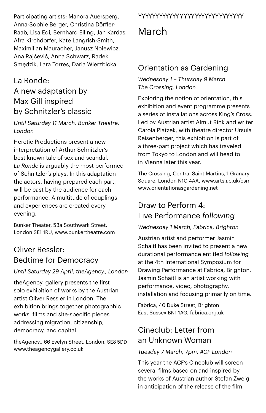Participating artists: Manora Auersperg, Anna-Sophie Berger, Christina Dörfler-Raab, Lisa Edi, Bernhard Eiling, Jan Kardas, Afra Kirchdorfer, Kate Langrish-Smith, Maximilian Mauracher, Janusz Noiewicz, Ana Rajčević, Anna Schwarz, Radek Smędzik, Lara Torres, Daria Wierzbicka

## La Ronde:

# A new adaptation by Max Gill inspired by Schnitzler's classic

*Until Saturday 11 March, Bunker Theatre, London*

Heretic Productions present a new interpretation of Arthur Schnitzler's best known tale of sex and scandal. *La Ronde* is arguably the most performed of Schnitzler's plays. In this adaptation the actors, having prepared each part, will be cast by the audience for each performance. A multitude of couplings and experiences are created every evening.

Bunker Theater, 53a Southwark Street, London SE1 1RU, [www.bunkertheatre.com](http://www.bunkertheatre.com) 

# Oliver Ressler: Bedtime for Democracy

## *Until Saturday 29 April, theAgency., London*

theAgency. gallery presents the first solo exhibition of works by the Austrian artist Oliver Ressler in London. The exhibition brings together photographic works, films and site-specific pieces addressing migration, citizenship, democracy, and capital.

theAgency., 66 Evelyn Street, London, SE8 5DD [www.theagencygallery.co.uk](http://www.theagencygallery.co.uk)

## YY Y   YYY YYY Y YY Y Y YYYYY Y Y YYYYYYYYY

# March

# Orientation as Gardening

*Wednesday 1 – Thursday 9 March The Crossing, London*

Exploring the notion of orientation, this exhibition and event programme presents a series of installations across King's Cross. Led by Austrian artist Almut Rink and writer Carola Platzek, with theatre director Ursula Reisenberger, this exhibition is part of a three-part project which has traveled from Tokyo to London and will head to in Vienna later this year.

The Crossing, Central Saint Martins, 1 Granary Square, London N1C 4AA, [www.arts.ac.uk/csm](http://www.arts.ac.uk/csm)  [www.orientationasgardening.net](http://www.orientationasgardening.net) 

# Draw to Perform 4: Live Performance *following*

## *Wednesday 1 March, Fabrica, Brighton*

Austrian artist and performer Jasmin Schaitl has been invited to present a new durational performance entitled *following*  at the 4th International Symposium for Drawing Performance at Fabrica, Brighton. Jasmin Schaitl is an artist working with performance, video, photography, installation and focusing primarily on time.

Fabrica, 40 Duke Street, Brighton East Sussex BN1 1AG, [fabrica.org.uk](http://fabrica.org.uk/)

# Cineclub: Letter from an Unknown Woman

## *Tuesday 7 March, 7pm, ACF London*

This year the ACF's Cineclub will screen several films based on and inspired by the works of Austrian author Stefan Zweig in anticipation of the release of the film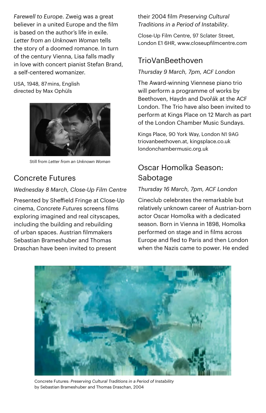*Farewell to Europe*. Zweig was a great believer in a united Europe and the film is based on the author's life in exile. *Letter from an Unknown Woman* tells the story of a doomed romance. In turn of the century Vienna, Lisa falls madly in love with concert pianist Stefan Brand, a self-centered womanizer.

USA, 1948, 87 mins, English directed by Max Ophüls



Still from *Letter from an Unknown Woman*

# Concrete Futures

## *Wednesday 8 March, Close-Up Film Centre*

Presented by Sheffield Fringe at Close-Up cinema, *Concrete Futures* screens films exploring imagined and real cityscapes, including the building and rebuilding of urban spaces. Austrian filmmakers Sebastian Brameshuber and Thomas Draschan have been invited to present

their 2004 film *Preserving Cultural Traditions in a Period of Instability*.

Close-Up Film Centre, 97 Sclater Street, London E1 6HR, [www.closeupfilmcentre.com](http://www.closeupfilmcentre.com) 

# TrioVanBeethoven

## *Thursday 9 March, 7pm, ACF London*

The Award-winning Viennese piano trio will perform a programme of works by Beethoven, Haydn and Dvořák at the ACF London. The Trio have also been invited to perform at Kings Place on 12 March as part of the London Chamber Music Sundays.

Kings Place, 90 York Way, London N1 9AG triovanbeethoven.at, kingsplace.co.uk londonchambermusic.org.uk

# Oscar Homolka Season: Sabotage

## *Thursday 16 March, 7pm, ACF London*

Cineclub celebrates the remarkable but relatively unknown career of Austrian-born actor Oscar Homolka with a dedicated season. Born in Vienna in 1898, Homolka performed on stage and in films across Europe and fled to Paris and then London when the Nazis came to power. He ended



Concrete Futures: *Preserving Cultural Traditions in a Period of Instability* by Sebastian Brameshuber and Thomas Draschan, 2004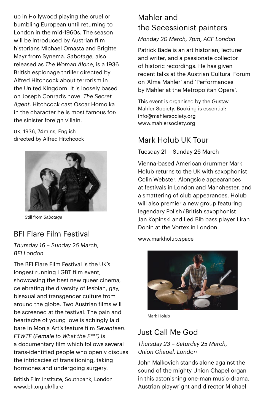up in Hollywood playing the cruel or bumbling European until returning to London in the mid-1960s. The season will be introduced by Austrian film historians Michael Omasta and Brigitte Mayr from Synema. *Sabotage*, also released as *The Woman Alone*, is a 1936 British espionage thriller directed by Alfred Hitchcock about terrorism in the United Kingdom. It is loosely based on Joseph Conrad's novel *The Secret Agent*. Hitchcock cast Oscar Homolka in the character he is most famous for: the sinister foreign villain.

UK, 1936, 74 mins, English directed by Alfred Hitchcock



Still from *Sabotage*

# BFI Flare Film Festival

*Thursday 16 – Sunday 26 March, BFI London*

The BFI Flare Film Festival is the UK's longest running LGBT film event, showcasing the best new queer cinema. celebrating the diversity of lesbian, gay, bisexual and transgender culture from around the globe. Two Austrian films will be screened at the festival. The pain and heartache of young love is achingly laid bare in Monja Art's feature film *Seventeen*. *FTWTF (Female to What the F\*\*\*)* is a documentary film which follows several trans-identified people who openly discuss the intricacies of transitioning, taking hormones and undergoing surgery.

British Film Institute, Southbank, London www.bfi.org.uk/flare

# Mahler and the Secessionist painters

*Monday 20 March, 7pm, ACF London*

Patrick Bade is an art historian, lecturer and writer, and a passionate collector of historic recordings. He has given recent talks at the Austrian Cultural Forum on 'Alma Mahler' and 'Performances by Mahler at the Metropolitan Opera'.

This event is organised by the Gustav Mahler Society. Booking is essential: [info@mahlersociety.org](mailto:info@mahlersociety.org) [www.mahlersociety.org](http://www.mahlersociety.org)

# Mark Holub UK Tour

Tuesday 21 – Sunday 26 March

Vienna-based American drummer Mark Holub returns to the UK with saxophonist Colin Webster. Alongside appearances at festivals in London and Manchester, and a smattering of club appearances, Holub will also premier a new group featuring legendary Polish / British saxophonist Jan Kopinski and Led Bib bass player Liran Donin at the Vortex in London.

[www.markholub.space](http://www.markholub.space)



Mark Holub

# Just Call Me God

*Thursday 23 – Saturday 25 March, Union Chapel, London* 

John Malkovich stands alone against the sound of the mighty Union Chapel organ in this astonishing one-man music-drama. Austrian playwright and director Michael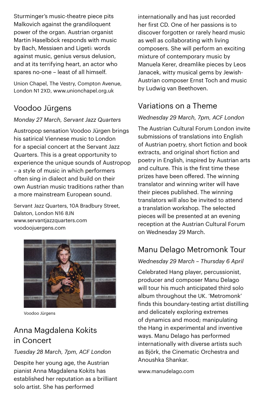Sturminger's music-theatre piece pits Malkovich against the grandiloquent power of the organ. Austrian organist Martin Haselböck responds with music by Bach, Messiaen and Ligeti: words against music, genius versus delusion, and at its terrifying heart, an actor who spares no-one – least of all himself.

Union Chapel, The Vestry, Compton Avenue, London N1 2XD, [www.unionchapel.org.uk](http://www.unionchapel.org.uk) 

# Voodoo Jürgens

## *Monday 27 March, Servant Jazz Quarters*

Austropop sensation Voodoo Jürgen brings his satirical Viennese music to London for a special concert at the Servant Jazz Quarters. This is a great opportunity to experience the unique sounds of Austropop – a style of music in which performers often sing in dialect and build on their own Austrian music traditions rather than a more mainstream European sound.

Servant Jazz Quarters, 10A Bradbury Street, Dalston, London N16 8JN [www.servantjazzquarters.com](http://www.servantjazzquarters.com) [voodoojuergens.com](http://voodoojuergens.com/)



Voodoo Jürgens

# Anna Magdalena Kokits in Concert

## *Tuesday 28 March, 7pm, ACF London*

Despite her young age, the Austrian pianist Anna Magdalena Kokits has established her reputation as a brilliant solo artist. She has performed

internationally and has just recorded her first CD. One of her passions is to discover forgotten or rarely heard music as well as collaborating with living composers. She will perform an exciting mixture of contemporary music by Manuela Kerer, dreamlike pieces by Leos Janacek, witty musical gems by Jewish-Austrian composer Ernst Toch and music by Ludwig van Beethoven.

# Variations on a Theme

## *Wednesday 29 March, 7pm, ACF London*

The Austrian Cultural Forum London invite submissions of translations into English of Austrian poetry, short fiction and book extracts, and original short fiction and poetry in English, inspired by Austrian arts and culture. This is the first time these prizes have been offered. The winning translator and winning writer will have their pieces published. The winning translators will also be invited to attend a translation workshop. The selected pieces will be presented at an evening reception at the Austrian Cultural Forum on Wednesday 29 March.

# Manu Delago Metromonk Tour

## *Wednesday 29 March – Thursday 6 April*

Celebrated Hang player, percussionist, producer and composer Manu Delago will tour his much anticipated third solo album throughout the UK. 'Metromonk' finds this boundary-testing artist distilling and delicately exploring extremes of dynamics and mood; manipulating the Hang in experimental and inventive ways. Manu Delago has performed internationally with diverse artists such as Björk, the Cinematic Orchestra and Anoushka Shankar.

[www.manudelago.com](http://www.manudelago.com/eng/home.htm)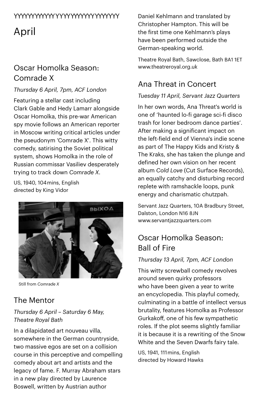# YY Y   YYY YYY Y YY Y Y YYYYY Y Y YYYYYYYYY

April

# Oscar Homolka Season: Comrade X

## *Thursday 6 April, 7pm, ACF London*

Featuring a stellar cast including Clark Gable and Hedy Lamarr alongside Oscar Homolka, this pre-war American spy movie follows an American reporter in Moscow writing critical articles under the pseudonym 'Comrade X'. This witty comedy, satirising the Soviet political system, shows Homolka in the role of Russian commissar Vasiliev desperately trying to track down *Comrade X*.

US, 1940, 104 mins, English directed by King Vidor



Still from *Comrade X*

# The Mentor

## *Thursday 6 April – Saturday 6 May, Theatre Royal Bath*

In a dilapidated art nouveau villa, somewhere in the German countryside, two massive egos are set on a collision course in this perceptive and compelling comedy about art and artists and the legacy of fame. F. Murray Abraham stars in a new play directed by Laurence Boswell, written by Austrian author

Daniel Kehlmann and translated by Christopher Hampton. This will be the first time one Kehlmann's plays have been performed outside the German-speaking world.

Theatre Royal Bath, Sawclose, Bath BA1 1ET [www.theatreroyal.org.uk](http://www.theatreroyal.org.uk)

# Ana Threat in Concert

## *Tuesday 11 April, Servant Jazz Quarters*

In her own words, Ana Threat's world is one of 'haunted lo-fi garage sci-fi disco trash for loner bedroom dance parties'. After making a significant impact on the left-field end of Vienna's indie scene as part of The Happy Kids and Kristy & The Kraks, she has taken the plunge and defined her own vision on her recent album *Cold Love* (Cut Surface Records), an equally catchy and disturbing record replete with ramshackle loops, punk energy and charismatic chutzpah.

Servant Jazz Quarters, 10A Bradbury Street, Dalston, London N16 8JN [www.servantjazzquarters.com](http://www.servantjazzquarters.com)

# Oscar Homolka Season: Ball of Fire

## *Thursday 13 April, 7pm, ACF London*

This witty screwball comedy revolves around seven quirky professors who have been given a year to write an encyclopedia. This playful comedy, culminating in a battle of intellect versus brutality, features Homolka as Professor Gurkakoff, one of his few sympathetic roles. If the plot seems slightly familiar it is because it is a rewriting of the Snow White and the Seven Dwarfs fairy tale.

US, 1941, 111 mins, English directed by Howard Hawks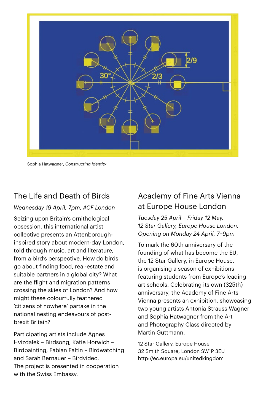

Sophia Hatwagner, *Constructing Identity*

# The Life and Death of Birds

### *Wednesday 19 April, 7pm, ACF London*

Seizing upon Britain's ornithological obsession, this international artist collective presents an Attenboroughinspired story about modern-day London, told through music, art and literature, from a bird's perspective. How do birds go about finding food, real-estate and suitable partners in a global city? What are the flight and migration patterns crossing the skies of London? And how might these colourfully feathered 'citizens of nowhere' partake in the national nesting endeavours of postbrexit Britain?

Participating artists include Agnes Hvizdalek – Birdsong, Katie Horwich – Birdpainting, Fabian Faltin – Birdwatching and Sarah Bernauer – Birdvideo. The project is presented in cooperation with the Swiss Embassy.

# Academy of Fine Arts Vienna at Europe House London

*Tuesday 25 April – Friday 12 May, 12 Star Gallery, Europe House London. Opening on Monday 24 April, 7–9pm*

To mark the 60th anniversary of the founding of what has become the EU, the 12 Star Gallery, in Europe House, is organising a season of exhibitions featuring students from Europe's leading art schools. Celebrating its own (325th) anniversary, the Academy of Fine Arts Vienna presents an exhibition, showcasing two young artists Antonia Strauss-Wagner and Sophia Hatwagner from the Art and Photography Class directed by Martin Guttmann.

12 Star Gallery, Europe House 32 Smith Square, London SW1P 3EU http://ec.europa.eu/unitedkingdom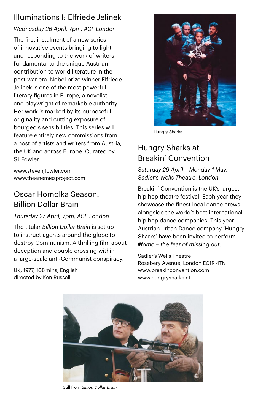# Illuminations I: Elfriede Jelinek

## *Wednesday 26 April, 7pm, ACF London*

The first instalment of a new series of innovative events bringing to light and responding to the work of writers fundamental to the unique Austrian contribution to world literature in the post-war era. Nobel prize winner Elfriede Jelinek is one of the most powerful literary figures in Europe, a novelist and playwright of remarkable authority. Her work is marked by its purposeful originality and cutting exposure of bourgeois sensibilities. This series will feature entirely new commissions from a host of artists and writers from Austria, the UK and across Europe. Curated by SJ Fowler.

[www.stevenjfowler.com](http://www.stevenjfowler.com) [www.theenemiesproject.com](http://www.theenemiesproject.com) 

# Oscar Homolka Season: Billion Dollar Brain

## *Thursday 27 April, 7pm, ACF London*

The titular *Billion Dollar Brain* is set up to instruct agents around the globe to destroy Communism. A thrilling film about deception and double crossing within a large-scale anti-Communist conspiracy.

UK, 1977, 108 mins, English directed by Ken Russell



Hungry Sharks

# Hungry Sharks at Breakin' Convention

*Saturday 29 April – Monday 1 May, Sadler's Wells Theatre, London*

Breakin' Convention is the UK's largest hip hop theatre festival. Each year they showcase the finest local dance crews alongside the world's best international hip hop dance companies. This year Austrian urban Dance company 'Hungry Sharks' have been invited to perform *#fomo – the fear of missing out*.

Sadler's Wells Theatre Rosebery Avenue, London EC1R 4TN [www.breakinconvention.com](http://www.breakinconvention.com) [www.hungrysharks.at](http://www.hungrysharks.at)



Still from *Billion Dollar Brain*